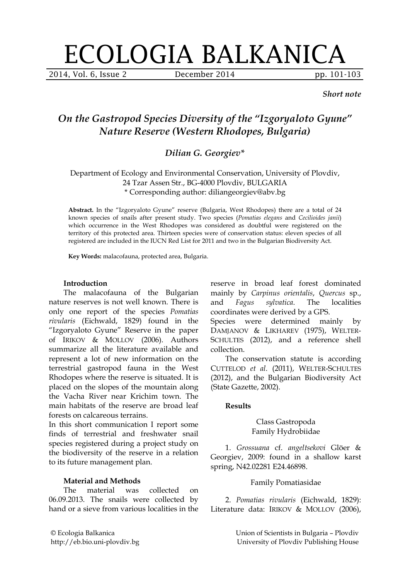# ECOLOGIA BALKANICA

2014, Vol. 6, Issue 2 December 2014 pp. 101-103

*Short note*

# *On the Gastropod Species Diversity of the "Izgoryaloto Gyune" Nature Reserve (Western Rhodopes, Bulgaria)*

# *Dilian G. Georgiev\**

Department of Ecology and Environmental Conservation, University of Plovdiv, 24 Tzar Assen Str., BG-4000 Plovdiv, BULGARIA \* Corresponding author: diliangeorgiev@abv.bg

**Abstract.** In the "Izgoryaloto Gyune" reserve (Bulgaria, West Rhodopes) there are a total of 24 known species of snails after present study. Two species (*Pomatias elegans* and *Cecilioides janii*) which occurrence in the West Rhodopes was considered as doubtful were registered on the territory of this protected area. Thirteen species were of conservation status: eleven species of all registered are included in the IUCN Red List for 2011 and two in the Bulgarian Biodiversity Act.

**Key Words:** malacofauna, protected area, Bulgaria.

#### **Introduction**

The malacofauna of the Bulgarian nature reserves is not well known. There is only one report of the species *Pomatias rivularis* (Eichwald, 1829) found in the "Izgoryaloto Gyune" Reserve in the paper of IRIKOV & MOLLOV (2006). Authors summarize all the literature available and represent a lot of new information on the terrestrial gastropod fauna in the West Rhodopes where the reserve is situated. It is placed on the slopes of the mountain along the Vacha River near Krichim town. The main habitats of the reserve are broad leaf forests on calcareous terrains.

In this short communication I report some finds of terrestrial and freshwater snail species registered during a project study on the biodiversity of the reserve in a relation to its future management plan.

# **Material and Methods**

The material was collected on 06.09.2013. The snails were collected by hand or a sieve from various localities in the reserve in broad leaf forest dominated mainly by *Carpinus orientalis*, *Quercus* sp., and *Fagus sylvatica*. The localities coordinates were derived by a GPS. Species were determined mainly by DAMJANOV & LIKHAREV (1975), WELTER-SCHULTES (2012), and a reference shell

collection. The conservation statute is according CUTTELOD *et al.* (2011), WELTER-SCHULTES (2012), and the Bulgarian Biodiversity Act (State Gazette, 2002).

#### **Results**

#### Class Gastropoda Family Hydrobiidae

1. *Grossuana* cf. *angeltsekovi* Glöer & Georgiev, 2009: found in a shallow karst spring, N42.02281 E24.46898.

#### Family Pomatiasidae

2. *Pomatias rivularis* (Eichwald, 1829): Literature data: IRIKOV & MOLLOV (2006),

© Ecologia Balkanica http://eb.bio.uni-plovdiv.bg Union of Scientists in Bulgaria – Plovdiv University of Plovdiv Publishing House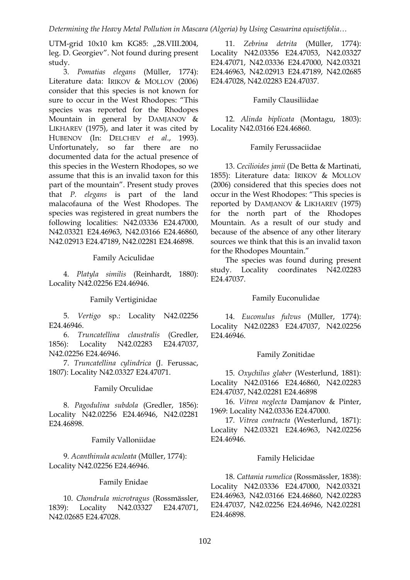UTM-grid 10x10 km KG85: "28.VIII.2004, leg. D. Georgiev". Not found during present study.

3. *Pomatias elegans* (Müller, 1774): Literature data: IRIKOV & MOLLOV (2006) consider that this species is not known for sure to occur in the West Rhodopes: "This species was reported for the Rhodopes Mountain in general by DAMJANOV & LIKHAREV (1975), and later it was cited by HUBENOV (In: DELCHEV *et al.*, 1993). Unfortunately, so far there are no documented data for the actual presence of this species in the Western Rhodopes, so we assume that this is an invalid taxon for this part of the mountain". Present study proves that *P. elegans* is part of the land malacofauna of the West Rhodopes. The species was registered in great numbers the following localities: N42.03336 E24.47000, N42.03321 E24.46963, N42.03166 E24.46860, N42.02913 E24.47189, N42.02281 E24.46898.

Family Aciculidae

4. *Platyla similis* (Reinhardt, 1880): Locality N42.02256 E24.46946.

# Family Vertiginidae

5. *Vertigo* sp.: Locality N42.02256 E24.46946.

6. *Truncatellina claustralis* (Gredler, 1856): Locality N42.02283 E24.47037, N42.02256 E24.46946.

7. *Truncatellina cylindrica* (J. Ferussac, 1807): Locality N42.03327 E24.47071.

# Family Orculidae

8. *Pagodulina subdola* (Gredler, 1856): Locality N42.02256 E24.46946, N42.02281 E24.46898.

# Family Valloniidae

9. *Acanthinula aculeata* (Müller, 1774): Locality N42.02256 E24.46946.

# Family Enidae

10. *Chondrula microtragus* (Rossmässler, 1839): Locality N42.03327 E24.47071, N42.02685 E24.47028.

11. *Zebrina detrita* (Müller, 1774): Locality N42.03356 E24.47053, N42.03327 E24.47071, N42.03336 E24.47000, N42.03321 E24.46963, N42.02913 E24.47189, N42.02685 E24.47028, N42.02283 E24.47037.

# Family Clausiliidae

12. *Alinda biplicata* (Montagu, 1803): Locality N42.03166 E24.46860.

# Family Ferussaciidae

13. *Cecilioides janii* (De Betta & Martinati, 1855): Literature data: IRIKOV & MOLLOV (2006) considered that this species does not occur in the West Rhodopes: "This species is reported by DAMJANOV & LIKHAREV (1975) for the north part of the Rhodopes Mountain. As a result of our study and because of the absence of any other literary sources we think that this is an invalid taxon for the Rhodopes Mountain."

The species was found during present study. Locality coordinates N42.02283 E24.47037.

# Family Euconulidae

14. *Euconulus fulvus* (Müller, 1774): Locality N42.02283 E24.47037, N42.02256 E24.46946.

# Family Zonitidae

15. *Oxychilus glaber* (Westerlund, 1881): Locality N42.03166 E24.46860, N42.02283 E24.47037, N42.02281 E24.46898

16. *Vitrea neglecta* Damjanov & Pinter, 1969: Locality N42.03336 E24.47000.

17. *Vitrea contracta* (Westerlund, 1871): Locality N42.03321 E24.46963, N42.02256 E24.46946.

# Family Helicidae

18. *Cattania rumelica* (Rossmässler, 1838): Locality N42.03336 E24.47000, N42.03321 E24.46963, N42.03166 E24.46860, N42.02283 E24.47037, N42.02256 E24.46946, N42.02281 E24.46898.